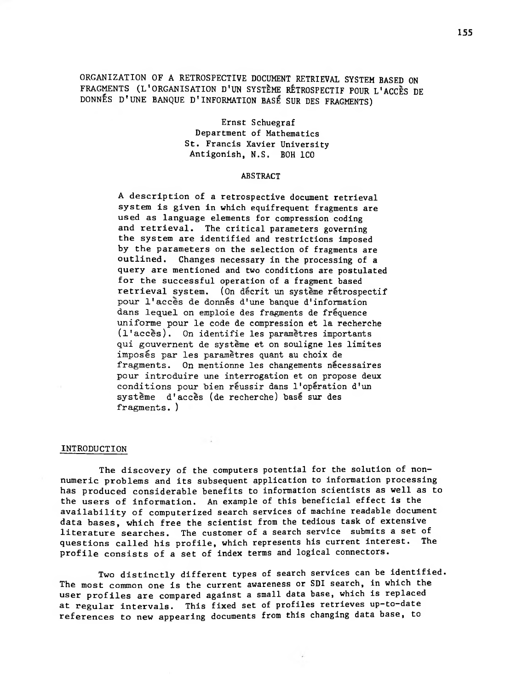ORGANIZATION OF A RETROSPECTIVE DOCUMENT RETRIEVAL SYSTEM BASED ON FRAGMENTS (L<sup>1</sup> ORGANISATION D'UN SYSTEME RETROSPECTIF POUR L'ACCES DE DONNES D'UNE BANQUE D ' INFORMATION BASE SUR DES FRAGMENTS)

> Ernst Schuegraf Department of Mathematics St. Francis Xavier University Antigonish, N.S. BOH ICO

#### ABSTRACT

<sup>A</sup> description of a retrospective document retrieval system is given in which equifrequent fragments are used as language elements for compression coding and retrieval. The critical parameters governing the system are identified and restrictions imposed by the parameters on the selection of fragments are outlined. Changes necessary in the processing of a query are mentioned and two conditions are postulated for the successful operation of a fragment based retrieval system. (On decrit un systeme retrospectif pour 1'acces de donnes d'une banque d'information dans lequel on emploie des fragments de frequence uniforme pour le code de compression et la recherche (1'acces). On identifie les parametres importants qui gouvernent de systeme et on souligne les limites imposes par les parametres quant au choix de fragments. On mentionne les changements necessaires pour introduire une interrogation et on propose deux conditions pour bien reussir dans 1'operation d'un systeme d'acces (de recherche) base sur des fragments. )

# INTRODUCTION

The discovery of the computers potential for the solution of nonnumeric problems and its subsequent application to information processing has produced considerable benefits to information scientists as well as to the users of information. An example of this beneficial effect is the availability of computerized search services of machine readable document data bases, which free the scientist from the tedious task of extensive literature searches. The customer of a search service submits a set of<br>questions called his profile, which represents his current interest. The questions called his profile, which represents his current interest. profile consists of a set of index terms and logical connectors.

Two distinctly different types of search services can be identified. The most common one is the current awareness or SDI search, in which the user profiles are compared against a small data base, which is replaced at regular intervals. This fixed set of profiles retrieves up-to-date references to new appearing documents from this changing data base, to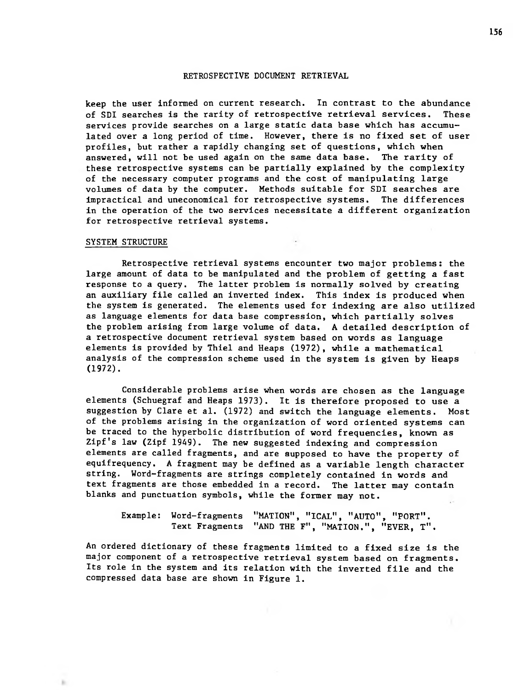keep the user informed on current research. In contrast to the abundance of SDI searches is the rarity of retrospective retrieval services. These services provide searches on <sup>a</sup> large static data base which has accumulated over a long period of time. However, there is no fixed set of user profiles, but rather a rapidly changing set of questions, which when answered, will not be used again on the same data base. The rarity of these retrospective systems can be partially explained by the complexity of the necessary computer programs and the cost of manipulating large volumes of data by the computer. Methods suitable for SDI searches are impractical and uneconomical for retrospective systems. The differences in the operation of the two services necessitate a different organization for retrospective retrieval systems.

#### SYSTEM STRUCTURE

b.

response to a query. The latter problem is normally solved by creating the problem arising from large volume of data. A detailed description of Retrospective retrieval systems encounter two major problems: the large amount of data to be manipulated and the problem of getting a fast an auxiliary file called an inverted index. This index is produced when the system is generated. The elements used for indexing are also utilized as language elements for data base compression, which partially solves a retrospective document retrieval system based on words as language elements is provided by Thiel and Heaps (1972), while a mathematical analysis of the compression scheme used in the system is given by Heaps (1972).

Considerable problems arise when words are chosen as the language elements (Schuegraf and Heaps 1973). It is therefore proposed to use a suggestion by Clare et al. (1972) and switch the language elements. Most of the problems arising in the organization of word oriented systems can be traced to the hyperbolic distribution of word frequencies, known as Zipf's law (Zipf 1949). The new suggested indexing and compression elements are called fragments, and are supposed to have the property of equifrequency. <sup>A</sup> fragment may be defined as a variable length character string. Word-fragments are strings completely contained in words and text fragments are those embedded in <sup>a</sup> record. The latter may contain blanks and punctuation symbols, while the former may not.

Example: Word-fragments Text Fragments "AND THE F", "MATION.", "EVER, T". "MATION", "ICAL", "AUTO", "PORT".

An ordered dictionary of these fragments limited to a fixed size is the major component of a retrospective retrieval system based on fragments. Its role in the system and its relation with the inverted file and the compressed data base are shown in Figure 1.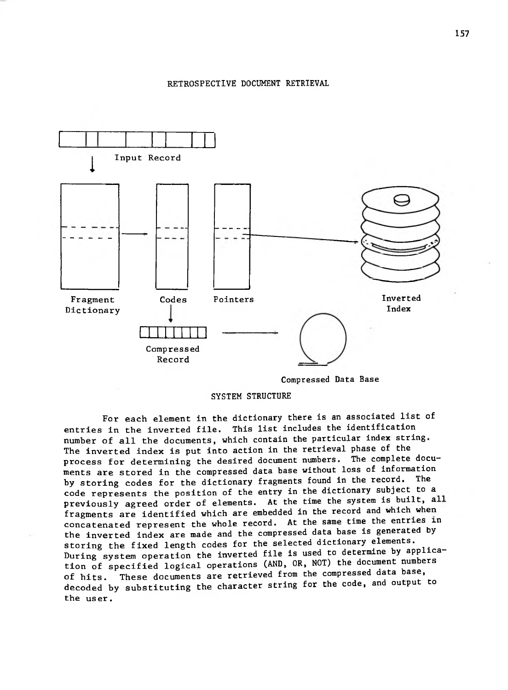

Compressed Data Base

SYSTEM STRUCTURE

For each element in the dictionary there is an associated list of entries in the inverted file. This list includes the identification mamber of air the documents, which contain the retrieval phase of the process for determining the desired document numbers. The complete documents are stored in the compressed data base without loss of information by storing codes for the dictionary fragments found in the record. The code represents the position of the entry in the dictionary subject to a previously agreed order of elements. At the time the system is built, all fragments are identified which are embedded in the record and which when concatenated represent the whole record. At the same time the entries in the inverted index are made and the compressed data base is generated by storing the fixed length codes for the selected dictionary elements. During system operation the inverted file is used to determine by application of specified logical operations (AND, OR, NOT) the document numbers of hits. These documents are retrieved from the compressed data base, decoded by substituting the character string for the code, and output to the user. number of all the documents, which contain the particular index string.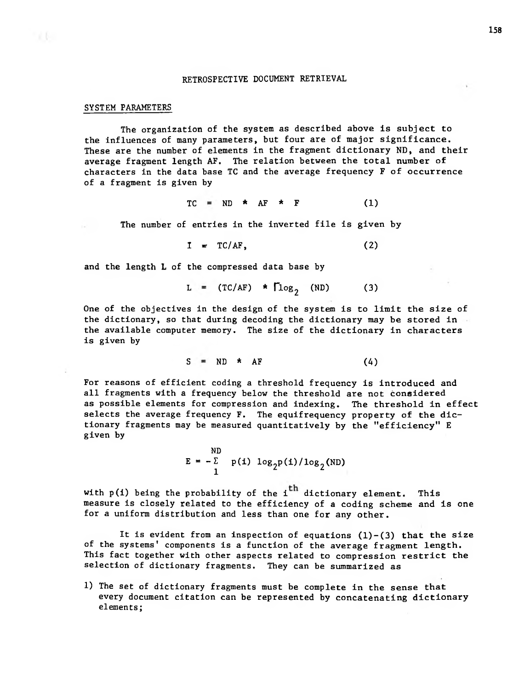#### SYSTEM PARAMETERS

The organization of the system as described above is subject to the influences of many parameters, but four are of major significance. These are the number of elements in the fragment dictionary ND, and their average fragment length AF. The relation between the total number of characters in the data base TC and the average frequency F of occurrence of a fragment is given by

$$
TC = ND * AF * F \qquad (1)
$$

The number of entries in the inverted file is given by

$$
I = TC/AF, \qquad (2)
$$

and the length L of the compressed data base by

$$
L = (TC/AF) * \Gamma \log_2 (ND) \qquad (3)
$$

the available computer memory, The size of the dictionary in characters is given by One of the objectives in the design of the system is to limit the size of the dictionary, so that during decoding the dictionary may be stored in

$$
S = ND \star AF \qquad (4)
$$

tionary fragments may be measured quantitatively by the "efficiency" E as possible elements for compression and indexing. The threshold in effect selects the average frequency F. The equifrequency property of the dicgiven by For reasons of efficient coding a threshold frequency is introduced and all fragments with a frequency below the threshold are not considered

> 2 ND  $E = -\Sigma$  $\overline{r}$  $p(i)$  log<sub>2</sub> $p(i)/log<sub>2</sub>(ND)$

with  $p(i)$  being the probability of the i<sup>th</sup> dictionary element. This measure is closely related to the efficiency of a coding scheme and is one for a uniform distribution and less than one for any other.

It is evident from an inspection of equations  $(1)-(3)$  that the size of the systems' components is a function of the average fragment length. This fact together with other aspects related to compression restrict the selection of dictionary fragments. They can be summarized as

1) The set of dictionary fragments must be complete in the sense that every document citation can be represented by concatenating dictionary elements;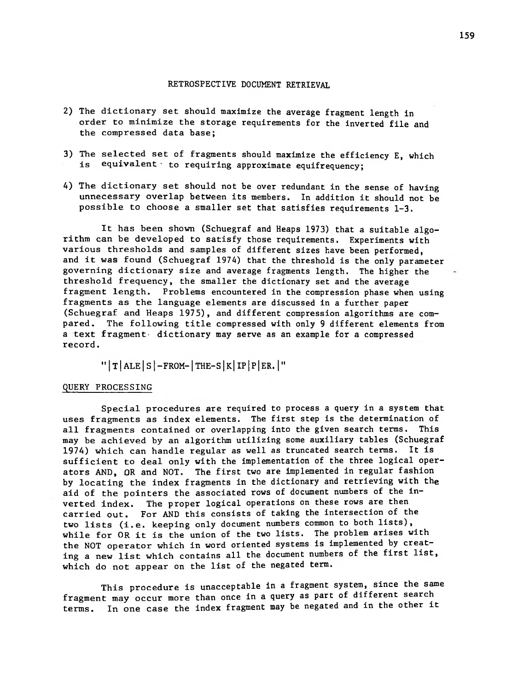- 2) The dictionary set should maximize the average fragment length in order to minimize the storage requirements for the inverted file and the compressed data base;
- 3) The selected set of fragments should maximize the efficiency E, which is equivalent to requiring approximate equifrequency;
- 4) The dictionary set should not be over redundant in the sense of having unnecessary overlap between its members. In addition it should not be possible to choose a smaller set that satisfies requirements 1-3.

It has been shown (Schuegraf and Heaps 1973) that <sup>a</sup> suitable algorithm can be developed to satisfy those requirements. Experiments with various thresholds and samples of different sizes have been performed, and it was found (Schuegraf 1974) that the threshold is the only parameter governing dictionary size and average fragments length. The higher the threshold frequency, the smaller the dictionary set and the average fragment length. Problems encountered in the compression phase when using fragments as the language elements are discussed in a further paper (Schuegraf and Heaps 1975), and different compression algorithms are compared. The following title compressed with only <sup>9</sup> different elements from a text fragment- dictionary may serve as an example for a compressed record.

 $" | T | ALE | S |$ -FROM- $| THE-S | K | IP | P | ER. |"$ 

### QUERY PROCESSING

Special procedures are required to process a query in a system that uses fragments as index elements. The first step is the determination of<br>all fragments contained or overlapping into the given search terms. This all fragments contained or overlapping into the given search terms. may be achieved by an algorithm utilizing some auxiliary tables (Schuegraf 1974) which can handle regular as well as truncated search terms. It is sufficient to deal only with the implementation of the three logical operators AND, OR and NOT. The first two are implemented in regular fashion by locating the index fragments in the dictionary and retrieving with the aid of the pointers the associated rows of document numbers of the inverted index. The proper logical operations on these rows are then carried out. For AND this consists of taking the intersection of the two lists (i.e. keeping only document numbers common to both lists), while for OR it is the union of the two lists. The problem arises with the NOT operator which in word oriented systems is implemented by creating <sup>a</sup> new list which contains all the document numbers of the first list, which do not appear on the list of the negated term.

This procedure is unacceptable in a fragment system, since the same fragment may occur more than once in a query as part of different search terms. In one case the index fragment may be negated and in the other it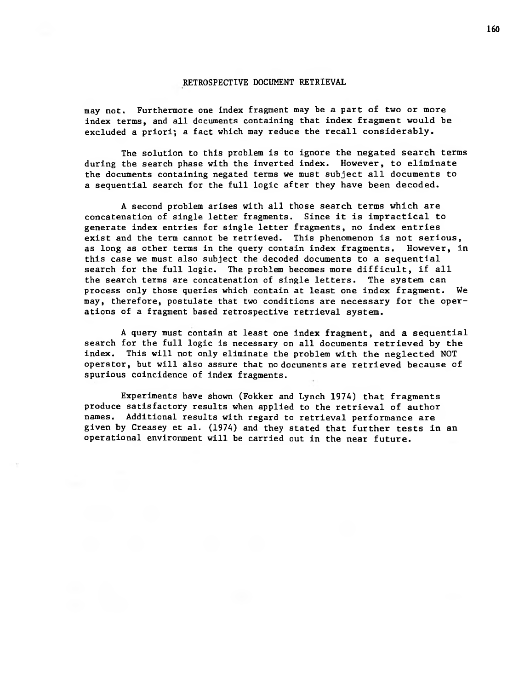may not. Furthermore one index fragment may be a part of two or more index terms, and all documents containing that index fragment would be excluded a priori; a fact which may reduce the recall considerably.

The solution to this problem is to ignore the negated search terms during the search phase with the inverted index. However, to eliminate the documents containing negated terms we must subject all documents to a sequential search for the full logic after they have been decoded.

as long as other terms in the query contain index fragments. However, in A second problem arises with all those search terms which are concatenation of single letter fragments. Since it is impractical to generate index entries for single letter fragments, no index entries exist and the term cannot be retrieved. This phenomenon is not serious, this case we must also subject the decoded documents to a sequential search for the full logic. The problem becomes more difficult, if all the search terms are concatenation of single letters. The system can process only those queries which contain at least one index fragment. We may, therefore, postulate that two conditions are necessary for the operations of a fragment based retrospective retrieval system.

index. This will not only eliminate the problem with the neglected NOT A query must contain at least one index fragment, and a sequential search for the full logic is necessary on all documents retrieved by the operator, but will also assure that no documents are retrieved because of spurious coincidence of index fragments.

Experiments have shown (Fokker and Lynch 1974) that fragments produce satisfactory results when applied to the retrieval of author names. Additional results with regard to retrieval performance are given by Creasey et al. (1974) and they stated that further tests in an operational environment will be carried out in the near future.